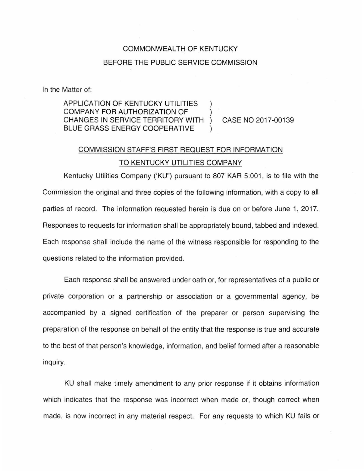### COMMONWEALTH OF KENTUCKY

#### BEFORE THE PUBLIC SERVICE COMMISSION

In the Matter of:

## APPLICATION OF KENTUCKY UTILITIES COMPANY FOR AUTHORIZATION OF ) CHANGES IN SERVICE TERRITORY WITH ) CASE NO 2017-00139 BLUE GRASS ENERGY COOPERATIVE

# COMMISSION STAFF'S FIRST REQUEST FOR INFORMATION TO KENTUCKY UTILITIES COMPANY

Kentucky Utilities Company ('KU") pursuant to 807 KAR 5:001, is to file with the Commission the original and three copies of the following information, with a copy to all parties of record. The information requested herein is due on or before June 1, 2017. Responses to requests for information shall be appropriately bound, tabbed and indexed. Each response shall include the name of the witness responsible for responding to the questions related to the information provided .

Each response shall be answered under oath or, for representatives of a public or private corporation or a partnership or association or a governmental agency, be accompanied by a signed certification of the preparer or person supervising the preparation of the response on behalf of the entity that the response is true and accurate to the best of that person's knowledge, information, and belief formed after a reasonable inquiry.

KU shall make timely amendment to any prior response if it obtains information which indicates that the response was incorrect when made or, though correct when made, is now incorrect in any material respect. For any requests to which KU fails or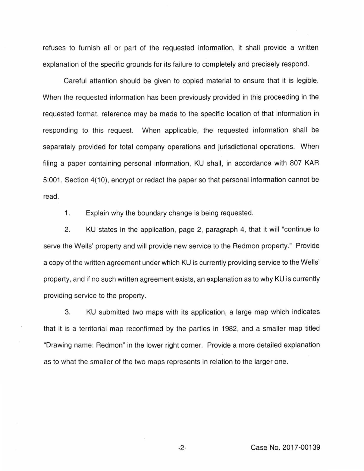refuses to furnish all or part of the requested information, it shall provide a written explanation of the specific grounds for its failure to completely and precisely respond.

Careful attention should be given to copied material to ensure that it is legible. When the requested information has been previously provided in this proceeding in the requested format, reference may be made to the specific location of that information in responding to this request. When applicable, the requested information shall be separately provided for total company operations and jurisdictional operations. When filing a paper containing personal information, KU shall, in accordance with 807 KAR 5:001, Section 4(10), encrypt or redact the paper so that personal information cannot be read.

1. Explain why the boundary change is being requested.

2. KU states in the application, page 2, paragraph 4, that it will "continue to serve the Wells' property and will provide new service to the Redmon property." Provide a copy of the written agreement under which KU is currently providing service to the Wells' property, and if no such written agreement exists, an explanation as to why KU is currently providing service to the property.

3. KU submitted two maps with its application, a large map which indicates that it is a territorial map reconfirmed by the parties in 1982, and a smaller map titled "Drawing name: Redmon" in the lower right corner. Provide a more detailed explanation as to what the smaller of the two maps represents in relation to the larger one.

-2- Case No. 2017-00139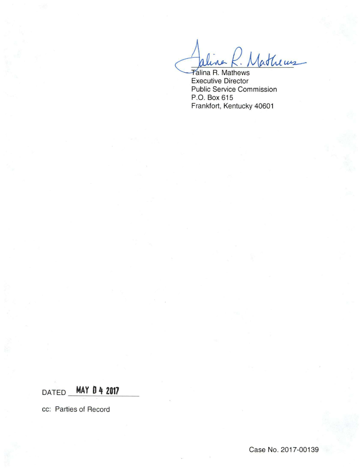Arline R. Matheus

Executive Director Public Service Commission P.O. Box 615 Frankfort, Kentucky 40601

# DATED **MAY 0** ~ **<sup>2017</sup>**

cc: Parties of Record

Case No. 2017-00139